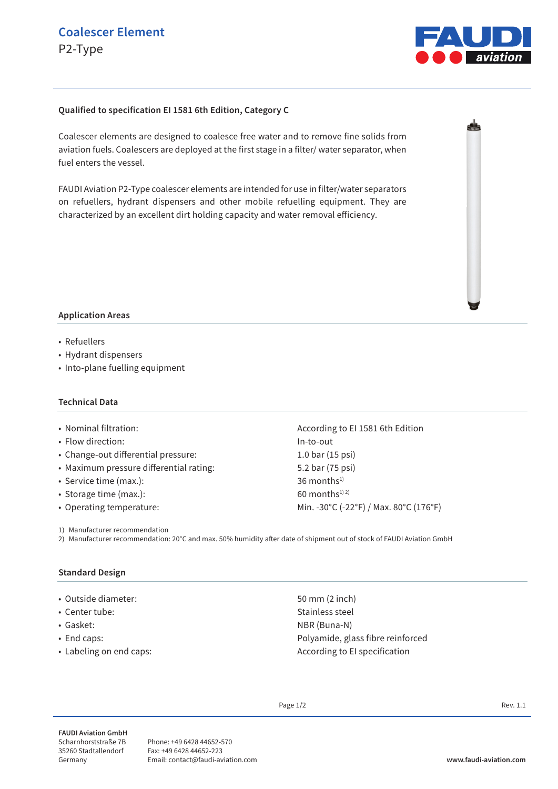

## **Qualified to specification EI 1581 6th Edition, Category C**

Coalescer elements are designed to coalesce free water and to remove fine solids from aviation fuels. Coalescers are deployed at the first stage in a filter/ water separator, when fuel enters the vessel.

FAUDI Aviation P2-Type coalescer elements are intended for use in filter/water separators on refuellers, hydrant dispensers and other mobile refuelling equipment. They are characterized by an excellent dirt holding capacity and water removal efficiency.



- Refuellers
- Hydrant dispensers
- Into-plane fuelling equipment

#### **Technical Data**

- Flow direction: In-to-out
- Change-out differential pressure: 1.0 bar (15 psi)
- Maximum pressure differential rating: 5.2 bar (75 psi)
- Service time  $(max.)$ : 36 months<sup>1)</sup>
- Storage time (max.):  $60$  months<sup>1) 2)</sup>
- 

1) Manufacturer recommendation

2) Manufacturer recommendation: 20°C and max. 50% humidity after date of shipment out of stock of FAUDI Aviation GmbH

#### **Standard Design**

- Outside diameter: 50 mm (2 inch)
- Center tube: Stainless steel
- Gasket: NBR (Buna-N)
- End caps: Polyamide, glass fibre reinforced
- Labeling on end caps:  $\overline{A}$  and  $\overline{A}$  are  $\overline{A}$  and  $\overline{A}$  are  $\overline{A}$  are  $\overline{A}$  are  $\overline{A}$  are  $\overline{A}$  are  $\overline{A}$  are  $\overline{A}$  are  $\overline{A}$  are  $\overline{A}$  are  $\overline{A}$  are  $\overline{A}$  are  $\overline{A}$  are  $\over$

• Nominal filtration:  $\blacksquare$  According to EI 1581 6th Edition • Operating temperature: Min. -30°C (-22°F) / Max. 80°C (176°F)

Page  $1/2$  Rev. 1.1